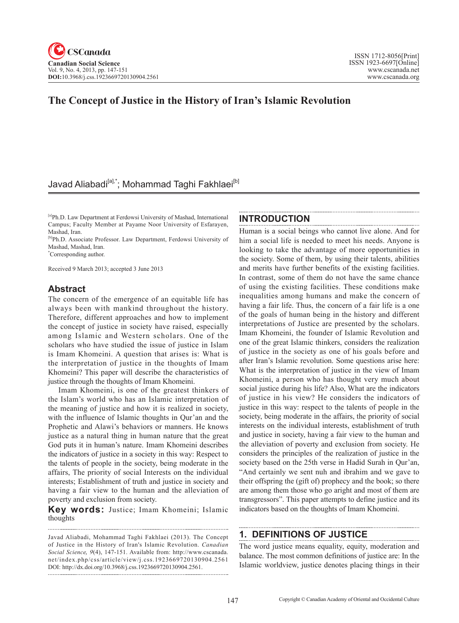## **The Concept of Justice in the History of Iran's Islamic Revolution**

### Javad Aliabadi<sup>[a],\*</sup>; Mohammad Taghi Fakhlaei<sup>[b]</sup>

[a]Ph.D. Law Department at Ferdowsi University of Mashad, International Campus; Faculty Member at Payame Noor University of Esfarayen, Mashad, Iran.

[b]Ph.D. Associate Professor. Law Department, Ferdowsi University of Mashad, Mashad, Iran.

\* Corresponding author.

Received 9 March 2013; accepted 3 June 2013

### **Abstract**

The concern of the emergence of an equitable life has always been with mankind throughout the history. Therefore, different approaches and how to implement the concept of justice in society have raised, especially among Islamic and Western scholars. One of the scholars who have studied the issue of justice in Islam is Imam Khomeini. A question that arises is: What is the interpretation of justice in the thoughts of Imam Khomeini? This paper will describe the characteristics of justice through the thoughts of Imam Khomeini.

Imam Khomeini, is one of the greatest thinkers of the Islam's world who has an Islamic interpretation of the meaning of justice and how it is realized in society, with the influence of Islamic thoughts in Qur'an and the Prophetic and Alawi's behaviors or manners. He knows justice as a natural thing in human nature that the great God puts it in human's nature. Imam Khomeini describes the indicators of justice in a society in this way: Respect to the talents of people in the society, being moderate in the affairs, The priority of social Interests on the individual interests; Establishment of truth and justice in society and having a fair view to the human and the alleviation of poverty and exclusion from society.

**Key words:** Justice; Imam Khomeini; Islamic thoughts

### **INTRODUCTION**

Human is a social beings who cannot live alone. And for him a social life is needed to meet his needs. Anyone is looking to take the advantage of more opportunities in the society. Some of them, by using their talents, abilities and merits have further benefits of the existing facilities. In contrast, some of them do not have the same chance of using the existing facilities. These conditions make inequalities among humans and make the concern of having a fair life. Thus, the concern of a fair life is a one of the goals of human being in the history and different interpretations of Justice are presented by the scholars. Imam Khomeini, the founder of Islamic Revolution and one of the great Islamic thinkers, considers the realization of justice in the society as one of his goals before and after Iran's Islamic revolution. Some questions arise here: What is the interpretation of justice in the view of Imam Khomeini, a person who has thought very much about social justice during his life? Also, What are the indicators of justice in his view? He considers the indicators of justice in this way: respect to the talents of people in the society, being moderate in the affairs, the priority of social interests on the individual interests, establishment of truth and justice in society, having a fair view to the human and the alleviation of poverty and exclusion from society. He considers the principles of the realization of justice in the society based on the 25th verse in Hadid Surah in Qur'an, "And certainly we sent nuh and ibrahim and we gave to their offspring the (gift of) prophecy and the book; so there are among them those who go aright and most of them are transgressors". This paper attempts to define justice and its indicators based on the thoughts of Imam Khomeini.

### **1. DEFINITIONS OF JUSTICE**

The word justice means equality, equity, moderation and balance. The most common definitions of justice are: In the Islamic worldview, justice denotes placing things in their

Javad Aliabadi, Mohammad Taghi Fakhlaei (2013). The Concept of Justice in the History of Iran's Islamic Revolution. *Canadian Social Science*, <sup>9</sup>(4), 147-151. Available from: http://www.cscanada. net/index.php/css/article/view/j.css.1923669720130904.2561 DOI: http://dx.doi.org/10.3968/j.css.1923669720130904.2561.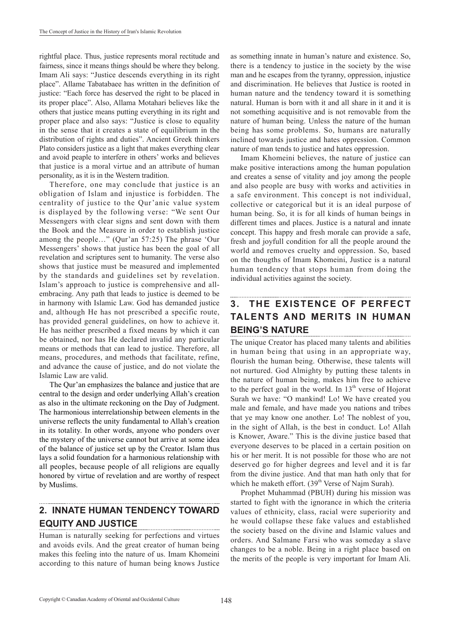rightful place. Thus, justice represents moral rectitude and fairness, since it means things should be where they belong. Imam Ali says: "Justice descends everything in its right place". Allame Tabatabaee has written in the definition of justice: "Each force has deserved the right to be placed in its proper place". Also, Allama Motahari believes like the others that justice means putting everything in its right and proper place and also says: "Justice is close to equality in the sense that it creates a state of equilibrium in the distribution of rights and duties". Ancient Greek thinkers Plato considers justice as a light that makes everything clear and avoid peaple to interfere in others' works and believes that justice is a moral virtue and an attribute of human personality, as it is in the Western tradition.

Therefore, one may conclude that justice is an obligation of Islam and injustice is forbidden. The centrality of justice to the Qur'anic value system is displayed by the following verse: "We sent Our Messengers with clear signs and sent down with them the Book and the Measure in order to establish justice among the people…" (Qur'an 57:25) The phrase 'Our Messengers' shows that justice has been the goal of all revelation and scriptures sent to humanity. The verse also shows that justice must be measured and implemented by the standards and guidelines set by revelation. Islam's approach to justice is comprehensive and allembracing. Any path that leads to justice is deemed to be in harmony with Islamic Law. God has demanded justice and, although He has not prescribed a specific route, has provided general guidelines, on how to achieve it. He has neither prescribed a fixed means by which it can be obtained, nor has He declared invalid any particular means or methods that can lead to justice. Therefore, all means, procedures, and methods that facilitate, refine, and advance the cause of justice, and do not violate the Islamic Law are valid.

The Qur'an emphasizes the balance and justice that are central to the design and order underlying Allah's creation as also in the ultimate reckoning on the Day of Judgment. The harmonious interrelationship between elements in the universe reflects the unity fundamental to Allah's creation in its totality. In other words, anyone who ponders over the mystery of the universe cannot but arrive at some idea of the balance of justice set up by the Creator. Islam thus lays a solid foundation for a harmonious relationship with all peoples, because people of all religions are equally honored by virtue of revelation and are worthy of respect by Muslims.

#### **2. INNATE HUMAN TENDENCY TOWARD EQUITY AND JUSTICE**

Human is naturally seeking for perfections and virtues and avoids evils. And the great creator of human being makes this feeling into the nature of us. Imam Khomeini according to this nature of human being knows Justice

as something innate in human's nature and existence. So, there is a tendency to justice in the society by the wise man and he escapes from the tyranny, oppression, injustice and discrimination. He believes that Justice is rooted in human nature and the tendency toward it is something natural. Human is born with it and all share in it and it is not something acquisitive and is not removable from the nature of human being. Unless the nature of the human being has some problems. So, humans are naturally inclined towards justice and hates oppression. Common nature of man tends to justice and hates oppression.

Imam Khomeini believes, the nature of justice can make positive interactions among the human population and creates a sense of vitality and joy among the people and also people are busy with works and activities in a safe environment. This concept is not individual, collective or categorical but it is an ideal purpose of human being. So, it is for all kinds of human beings in different times and places. Justice is a natural and innate concept. This happy and fresh morale can provide a safe, fresh and joyfull condition for all the people around the world and removes cruelty and oppression. So, based on the thougths of Imam Khomeini, Justice is a natural human tendency that stops human from doing the individual activities against the society.

#### **3. THE EXISTENCE OF PERFECT TALENTS AND MERITS IN HUMAN BEING'S NATURE**

The unique Creator has placed many talents and abilities in human being that using in an appropriate way, flourish the human being. Otherwise, these talents will not nurtured. God Almighty by putting these talents in the nature of human being, makes him free to achieve to the perfect goal in the world. In  $13<sup>th</sup>$  verse of Hojorat Surah we have: "O mankind! Lo! We have created you male and female, and have made you nations and tribes that ye may know one another. Lo! The noblest of you, in the sight of Allah, is the best in conduct. Lo! Allah is Knower, Aware." This is the divine justice based that everyone deserves to be placed in a certain position on his or her merit. It is not possible for those who are not deserved go for higher degrees and level and it is far from the divine justice. And that man hath only that for which he maketh effort.  $(39<sup>th</sup>$  Verse of Najm Surah).

Prophet Muhammad (PBUH) during his mission was started to fight with the ignorance in which the criteria values of ethnicity, class, racial were superiority and he would collapse these fake values and established the society based on the divine and Islamic values and orders. And Salmane Farsi who was someday a slave changes to be a noble. Being in a right place based on the merits of the people is very important for Imam Ali.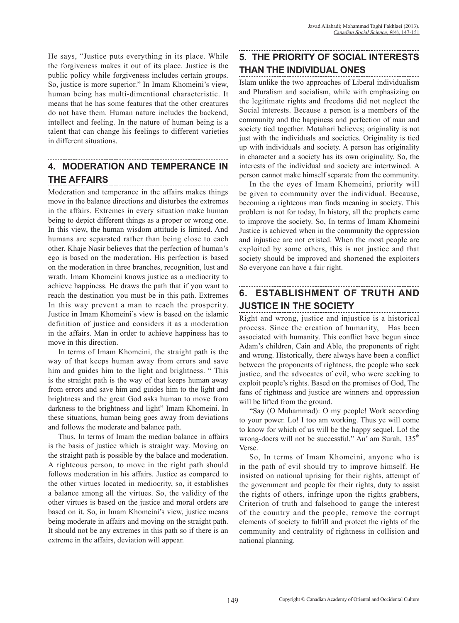He says, "Justice puts everything in its place. While the forgiveness makes it out of its place. Justice is the public policy while forgiveness includes certain groups. So, justice is more superior." In Imam Khomeini's view, human being has multi-dimentional characteristic. It means that he has some features that the other creatures do not have them. Human nature includes the backend, intellect and feeling. In the nature of human being is a talent that can change his feelings to different varieties in different situations.

# **4. MODERATION AND TEMPERANCE IN THE AFFAIRS**

Moderation and temperance in the affairs makes things move in the balance directions and disturbes the extremes in the affairs. Extremes in every situation make human being to depict different things as a proper or wrong one. In this view, the human wisdom attitude is limited. And humans are separated rather than being close to each other. Khaje Nasir believes that the perfection of human's ego is based on the moderation. His perfection is based on the moderation in three branches, recognition, lust and wrath. Imam Khomeini knows justice as a mediocrity to achieve happiness. He draws the path that if you want to reach the destination you must be in this path. Extremes In this way prevent a man to reach the prosperity. Justice in Imam Khomeini's view is based on the islamic definition of justice and considers it as a moderation in the affairs. Man in order to achieve happiness has to move in this direction.

In terms of Imam Khomeini, the straight path is the way of that keeps human away from errors and save him and guides him to the light and brightness. " This is the straight path is the way of that keeps human away from errors and save him and guides him to the light and brightness and the great God asks human to move from darkness to the brightness and light" Imam Khomeini. In these situations, human being goes away from deviations and follows the moderate and balance path.

Thus, In terms of Imam the median balance in affairs is the basis of justice which is straight way. Moving on the straight path is possible by the balace and moderation. A righteous person, to move in the right path should follows moderation in his affairs. Justice as compared to the other virtues located in mediocrity, so, it establishes a balance among all the virtues. So, the validity of the other virtues is based on the justice and moral orders are based on it. So, in Imam Khomeini's view, justice means being moderate in affairs and moving on the straight path. It should not be any extremes in this path so if there is an extreme in the affairs, deviation will appear.

## **5. THE PRIORITY OF SOCIAL INTERESTS THAN THE INDIVIDUAL ONES**

Islam unlike the two approaches of Liberal individualism and Pluralism and socialism, while with emphasizing on the legitimate rights and freedoms did not neglect the Social interests. Because a person is a members of the community and the happiness and perfection of man and society tied together. Motahari believes; originality is not just with the individuals and societies. Originality is tied up with individuals and society. A person has originality in character and a society has its own originality. So, the interests of the individual and society are intertwined. A person cannot make himself separate from the community.

In the the eyes of Imam Khomeini, priority will be given to community over the individual. Because, becoming a righteous man finds meaning in society. This problem is not for today, In history, all the prophets came to improve the society. So, In terms of Imam Khomeini Justice is achieved when in the community the oppression and injustice are not existed. When the most people are exploited by some others, this is not justice and that society should be improved and shortened the exploiters So everyone can have a fair right.

# **6. ESTABLISHMENT OF TRUTH AND JUSTICE IN THE SOCIETY**

Right and wrong, justice and injustice is a historical process. Since the creation of humanity, Has been associated with humanity. This conflict have begun since Adam's children, Cain and Able, the proponents of right and wrong. Historically, there always have been a conflict between the proponents of rightness, the people who seek justice, and the advocates of evil, who were seeking to exploit people's rights. Based on the promises of God, The fans of rightness and justice are winners and oppression will be lifted from the ground.

"Say (O Muhammad): O my people! Work according to your power. Lo! I too am working. Thus ye will come to know for which of us will be the happy sequel. Lo! the wrong-doers will not be successful." An' am Surah, 135<sup>th</sup> Verse.

So, In terms of Imam Khomeini, anyone who is in the path of evil should try to improve himself. He insisted on national uprising for their rights, attempt of the government and people for their rights, duty to assist the rights of others, infringe upon the rights grabbers, Criterion of truth and falsehood to gauge the interest of the country and the people, remove the corrupt elements of society to fulfill and protect the rights of the community and centrality of rightness in collision and national planning.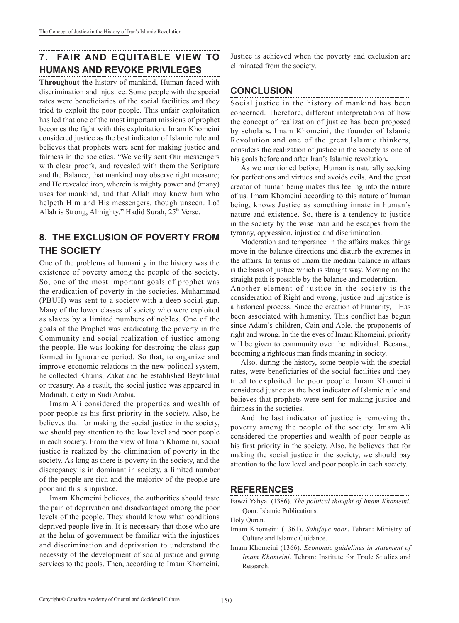## **7. FAIR AND EQUITABLE VIEW TO HUMANS AND REVOKE PRIVILEGES**

**Throughout the** history of mankind, Human faced with discrimination and injustice. Some people with the special rates were beneficiaries of the social facilities and they tried to exploit the poor people. This unfair exploitation has led that one of the most important missions of prophet becomes the fight with this exploitation. Imam Khomeini considered justice as the best indicator of Islamic rule and believes that prophets were sent for making justice and fairness in the societies. "We verily sent Our messengers with clear proofs, and revealed with them the Scripture and the Balance, that mankind may observe right measure; and He revealed iron, wherein is mighty power and (many) uses for mankind, and that Allah may know him who helpeth Him and His messengers, though unseen. Lo! Allah is Strong, Almighty." Hadid Surah,  $25<sup>th</sup>$  Verse.

#### **8. THE EXCLUSION OF POVERTY FROM THE SOCIETY**

One of the problems of humanity in the history was the existence of poverty among the people of the society. So, one of the most important goals of prophet was the eradication of poverty in the societies. Muhammad (PBUH) was sent to a society with a deep social gap. Many of the lower classes of society who were exploited as slaves by a limited numbers of nobles. One of the goals of the Prophet was eradicating the poverty in the Community and social realization of justice among the people. He was looking for destroing the class gap formed in Ignorance period. So that, to organize and improve economic relations in the new political system, he collected Khums, Zakat and he established Beytolmal or treasury. As a result, the social justice was appeared in Madinah, a city in Sudi Arabia.

Imam Ali considered the properties and wealth of poor people as his first priority in the society. Also, he believes that for making the social justice in the society, we should pay attention to the low level and poor people in each society. From the view of Imam Khomeini, social justice is realized by the elimination of poverty in the society. As long as there is poverty in the society, and the discrepancy is in dominant in society, a limited number of the people are rich and the majority of the people are poor and this is injustice.

Imam Khomeini believes, the authorities should taste the pain of deprivation and disadvantaged among the poor levels of the people. They should know what conditions deprived people live in. It is necessary that those who are at the helm of government be familiar with the injustices and discrimination and deprivation to understand the necessity of the development of social justice and giving services to the pools. Then, according to Imam Khomeini, Justice is achieved when the poverty and exclusion are eliminated from the society.

## **CONCLUSION**

Social justice in the history of mankind has been concerned. Therefore, different interpretations of how the concept of realization of justice has been proposed by scholars**.** Imam Khomeini, the founder of Islamic Revolution and one of the great Islamic thinkers, considers the realization of justice in the society as one of his goals before and after Iran's Islamic revolution**.** 

As we mentioned before, Human is naturally seeking for perfections and virtues and avoids evils. And the great creator of human being makes this feeling into the nature of us. Imam Khomeini according to this nature of human being, knows Justice as something innate in human's nature and existence. So, there is a tendency to justice in the society by the wise man and he escapes from the tyranny, oppression, injustice and discrimination.

Moderation and temperance in the affairs makes things move in the balance directions and disturb the extremes in the affairs. In terms of Imam the median balance in affairs is the basis of justice which is straight way. Moving on the straight path is possible by the balance and moderation. Another element of justice in the society is the consideration of Right and wrong, justice and injustice is a historical process. Since the creation of humanity, Has been associated with humanity. This conflict has begun since Adam's children, Cain and Able, the proponents of right and wrong. In the the eyes of Imam Khomeini, priority will be given to community over the individual. Because, becoming a righteous man finds meaning in society.

Also, during the history, some people with the special rates, were beneficiaries of the social facilities and they tried to exploited the poor people. Imam Khomeini considered justice as the best indicator of Islamic rule and believes that prophets were sent for making justice and fairness in the societies.

And the last indicator of justice is removing the poverty among the people of the society. Imam Ali considered the properties and wealth of poor people as his first priority in the society. Also, he believes that for making the social justice in the society, we should pay attention to the low level and poor people in each society.

#### **REFERENCES**

Holy Quran.

- Imam Khomeini (1361). *Sahifeye noor*. Tehran: Ministry of Culture and Islamic Guidance.
- Imam Khomeini (1366). *Economic guidelines in statement of Imam Khomeini.* Tehran: Institute for Trade Studies and Research.

Fawzi Yahya. (1386)*. The political thought of Imam Khomeini.* Qom: Islamic Publications.